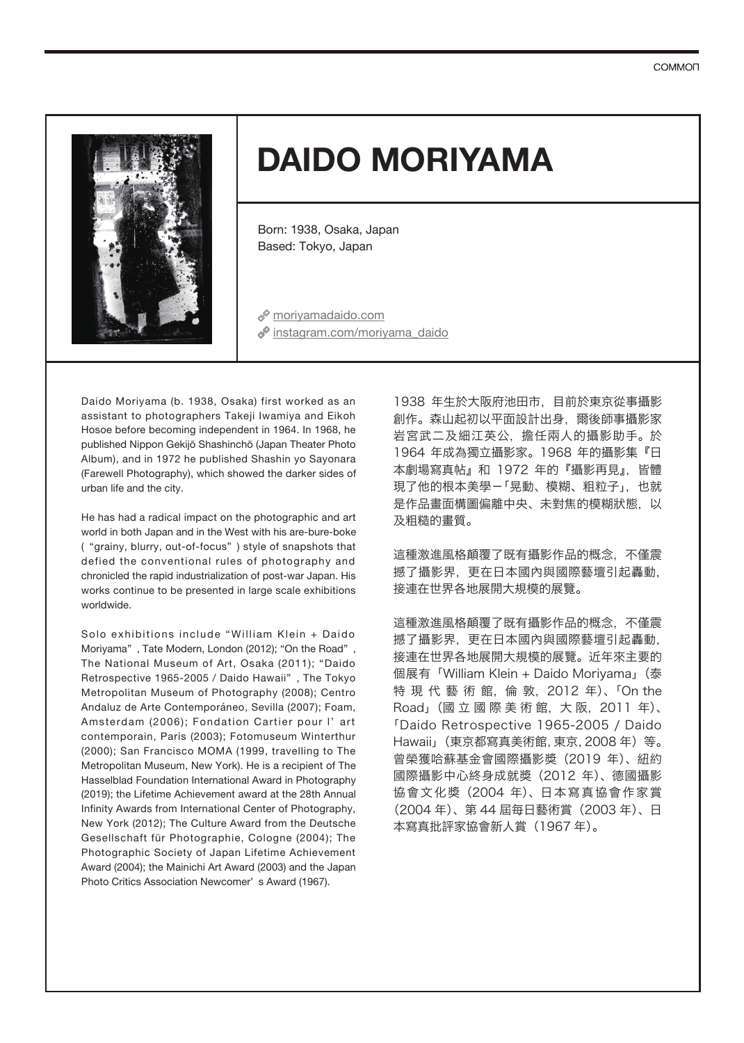

# **DAIDO MORIYAMA**

Born: 1938, Osaka, Japan Based: Tokyo, Japan

moriyamadaido.com  $\mathscr P$  instagram.com/moriyama\_daido

Daido Moriyama (b. 1938, Osaka) first worked as an assistant to photographers Takeji Iwamiya and Eikoh Hosoe before becoming independent in 1964. In 1968, he published Nippon Gekijō Shashinchō (Japan Theater Photo Album), and in 1972 he published Shashin yo Sayonara (Farewell Photography), which showed the darker sides of urban life and the city.

He has had a radical impact on the photographic and art world in both Japan and in the West with his are-bure-boke ( "grainy, blurry, out-of-focus" ) style of snapshots that defied the conventional rules of photography and chronicled the rapid industrialization of post-war Japan. His works continue to be presented in large scale exhibitions worldwide.

Solo exhibitions include "William Klein + Daido Moriyama" , Tate Modern, London (2012); "On the Road" , The National Museum of Art, Osaka (2011); "Daido Retrospective 1965-2005 / Daido Hawaii" , The Tokyo Metropolitan Museum of Photography (2008); Centro Andaluz de Arte Contemporáneo, Sevilla (2007); Foam, Amsterdam (2006); Fondation Cartier pour l' art contemporain, Paris (2003); Fotomuseum Winterthur (2000); San Francisco MOMA (1999, travelling to The Metropolitan Museum, New York). He is a recipient of The Hasselblad Foundation International Award in Photography (2019); the Lifetime Achievement award at the 28th Annual Infinity Awards from International Center of Photography, New York (2012); The Culture Award from the Deutsche Gesellschaft für Photographie, Cologne (2004); The Photographic Society of Japan Lifetime Achievement Award (2004); the Mainichi Art Award (2003) and the Japan Photo Critics Association Newcomer' s Award (1967).

1938 年生於大阪府池田市,目前於東京從事攝影 創作。森山起初以平面設計出身,爾後師事攝影家 岩宮武二及細江英公,擔任兩人的攝影助手。於 1964 年成為獨立攝影家。1968 年的攝影集『日 本劇場寫真帖』和 1972 年的『攝影再見』,皆體 現了他的根本美學-「晃動、模糊、粗粒子」,也就 是作品畫面構圖偏離中央、未對焦的模糊狀態,以 及粗糙的畫質。

這種激進風格顛覆了既有攝影作品的概念,不僅震 撼了攝影界,更在日本國內與國際藝壇引起轟動, 接連在世界各地展開大規模的展覽。

這種激進風格顛覆了既有攝影作品的概念,不僅震 撼了攝影界,更在日本國內與國際藝壇引起轟動, 接連在世界各地展開大規模的展覽。近年來主要的 個展有「William Klein + Daido Moriyama」(泰 特 現 代 藝 術 館, 倫 敦, 2012 年)、「On the Road」(國 立 國 際 美 術 館, 大 阪, 2011 年)、 「Daido Retrospective 1965-2005 / Daido Hawaii」(東京都寫真美術館,東京,2008 年)等。 曾榮獲哈蘇基金會國際攝影獎(2019 年)、紐約 國際攝影中心終身成就獎(2012 年)、德國攝影 協會文化獎(2004 年)、日本寫真協會作家賞 (2004 年)、第 44 屆每日藝術賞(2003 年)、日 本寫真批評家協會新人賞(1967 年)。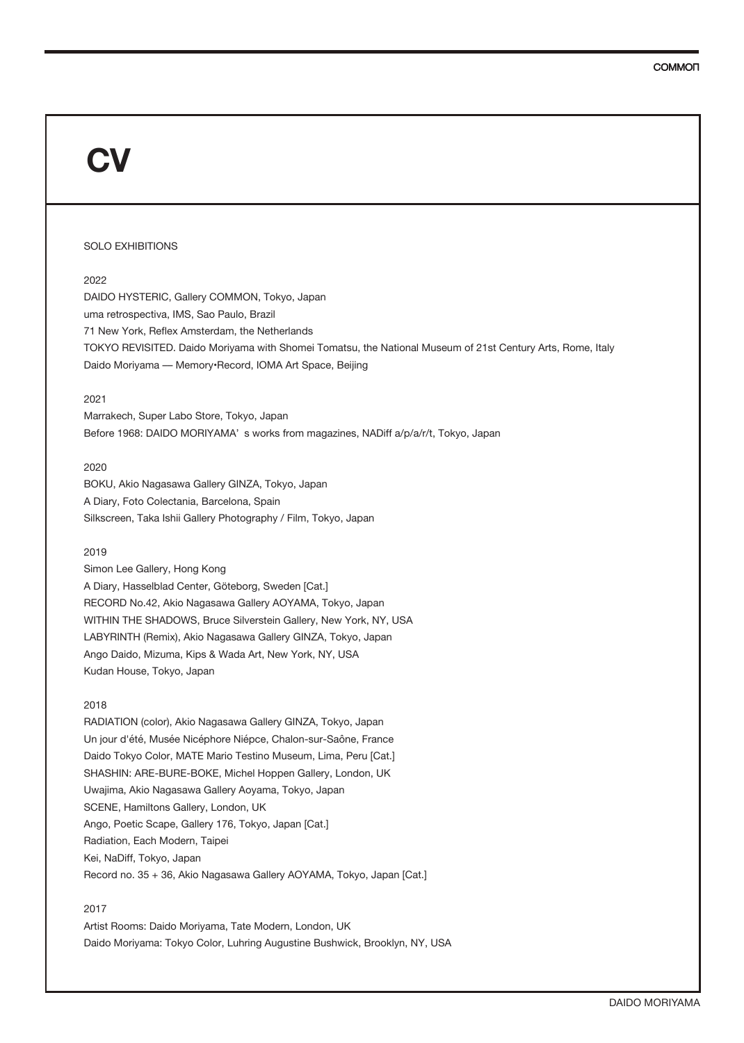## SOLO EXHIBITIONS

## 2022

DAIDO HYSTERIC, Gallery COMMON, Tokyo, Japan uma retrospectiva, IMS, Sao Paulo, Brazil 71 New York, Reflex Amsterdam, the Netherlands TOKYO REVISITED. Daido Moriyama with Shomei Tomatsu, the National Museum of 21st Century Arts, Rome, Italy Daido Moriyama - Memory·Record, IOMA Art Space, Beijing

## 2021

Marrakech, Super Labo Store, Tokyo, Japan Before 1968: DAIDO MORIYAMA' s works from magazines, NADiff a/p/a/r/t, Tokyo, Japan

## 2020

BOKU, Akio Nagasawa Gallery GINZA, Tokyo, Japan A Diary, Foto Colectania, Barcelona, Spain Silkscreen, Taka Ishii Gallery Photography / Film, Tokyo, Japan

#### 2019

Simon Lee Gallery, Hong Kong A Diary, Hasselblad Center, Göteborg, Sweden [Cat.] RECORD No.42, Akio Nagasawa Gallery AOYAMA, Tokyo, Japan WITHIN THE SHADOWS, Bruce Silverstein Gallery, New York, NY, USA LABYRINTH (Remix), Akio Nagasawa Gallery GINZA, Tokyo, Japan Ango Daido, Mizuma, Kips & Wada Art, New York, NY, USA Kudan House, Tokyo, Japan

## 2018

RADIATION (color), Akio Nagasawa Gallery GINZA, Tokyo, Japan Un jour d'été, Musée Nicéphore Niépce, Chalon-sur-Saône, France Daido Tokyo Color, MATE Mario Testino Museum, Lima, Peru [Cat.] SHASHIN: ARE-BURE-BOKE, Michel Hoppen Gallery, London, UK Uwajima, Akio Nagasawa Gallery Aoyama, Tokyo, Japan SCENE, Hamiltons Gallery, London, UK Ango, Poetic Scape, Gallery 176, Tokyo, Japan [Cat.] Radiation, Each Modern, Taipei Kei, NaDiff, Tokyo, Japan Record no. 35 + 36, Akio Nagasawa Gallery AOYAMA, Tokyo, Japan [Cat.]

## 2017

Artist Rooms: Daido Moriyama, Tate Modern, London, UK Daido Moriyama: Tokyo Color, Luhring Augustine Bushwick, Brooklyn, NY, USA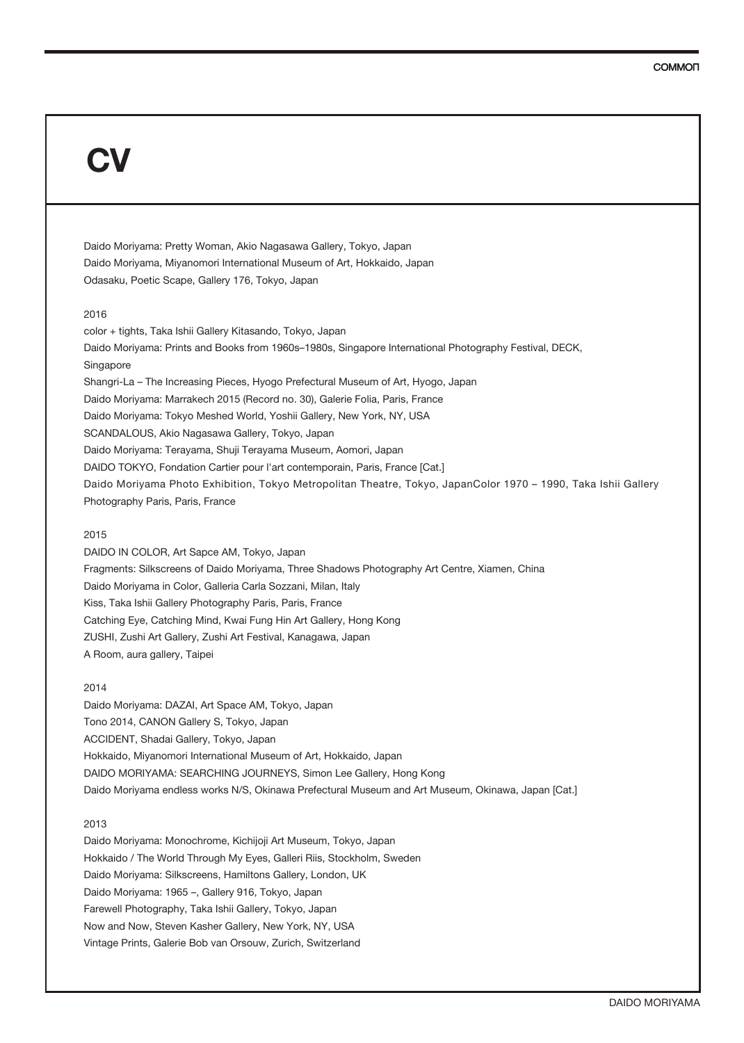Daido Moriyama: Pretty Woman, Akio Nagasawa Gallery, Tokyo, Japan Daido Moriyama, Miyanomori International Museum of Art, Hokkaido, Japan Odasaku, Poetic Scape, Gallery 176, Tokyo, Japan

## 2016

color + tights, Taka Ishii Gallery Kitasando, Tokyo, Japan Daido Moriyama: Prints and Books from 1960s–1980s, Singapore International Photography Festival, DECK, Singapore Shangri-La – The Increasing Pieces, Hyogo Prefectural Museum of Art, Hyogo, Japan Daido Moriyama: Marrakech 2015 (Record no. 30), Galerie Folia, Paris, France Daido Moriyama: Tokyo Meshed World, Yoshii Gallery, New York, NY, USA SCANDALOUS, Akio Nagasawa Gallery, Tokyo, Japan Daido Moriyama: Terayama, Shuji Terayama Museum, Aomori, Japan DAIDO TOKYO, Fondation Cartier pour l'art contemporain, Paris, France [Cat.] Daido Moriyama Photo Exhibition, Tokyo Metropolitan Theatre, Tokyo, JapanColor 1970 – 1990, Taka Ishii Gallery Photography Paris, Paris, France

### 2015

DAIDO IN COLOR, Art Sapce AM, Tokyo, Japan Fragments: Silkscreens of Daido Moriyama, Three Shadows Photography Art Centre, Xiamen, China Daido Moriyama in Color, Galleria Carla Sozzani, Milan, Italy Kiss, Taka Ishii Gallery Photography Paris, Paris, France Catching Eye, Catching Mind, Kwai Fung Hin Art Gallery, Hong Kong ZUSHI, Zushi Art Gallery, Zushi Art Festival, Kanagawa, Japan A Room, aura gallery, Taipei

## 2014

Daido Moriyama: DAZAI, Art Space AM, Tokyo, Japan Tono 2014, CANON Gallery S, Tokyo, Japan ACCIDENT, Shadai Gallery, Tokyo, Japan Hokkaido, Miyanomori International Museum of Art, Hokkaido, Japan DAIDO MORIYAMA: SEARCHING JOURNEYS, Simon Lee Gallery, Hong Kong Daido Moriyama endless works N/S, Okinawa Prefectural Museum and Art Museum, Okinawa, Japan [Cat.]

### 2013

Daido Moriyama: Monochrome, Kichijoji Art Museum, Tokyo, Japan Hokkaido / The World Through My Eyes, Galleri Riis, Stockholm, Sweden Daido Moriyama: Silkscreens, Hamiltons Gallery, London, UK Daido Moriyama: 1965 –, Gallery 916, Tokyo, Japan Farewell Photography, Taka Ishii Gallery, Tokyo, Japan Now and Now, Steven Kasher Gallery, New York, NY, USA Vintage Prints, Galerie Bob van Orsouw, Zurich, Switzerland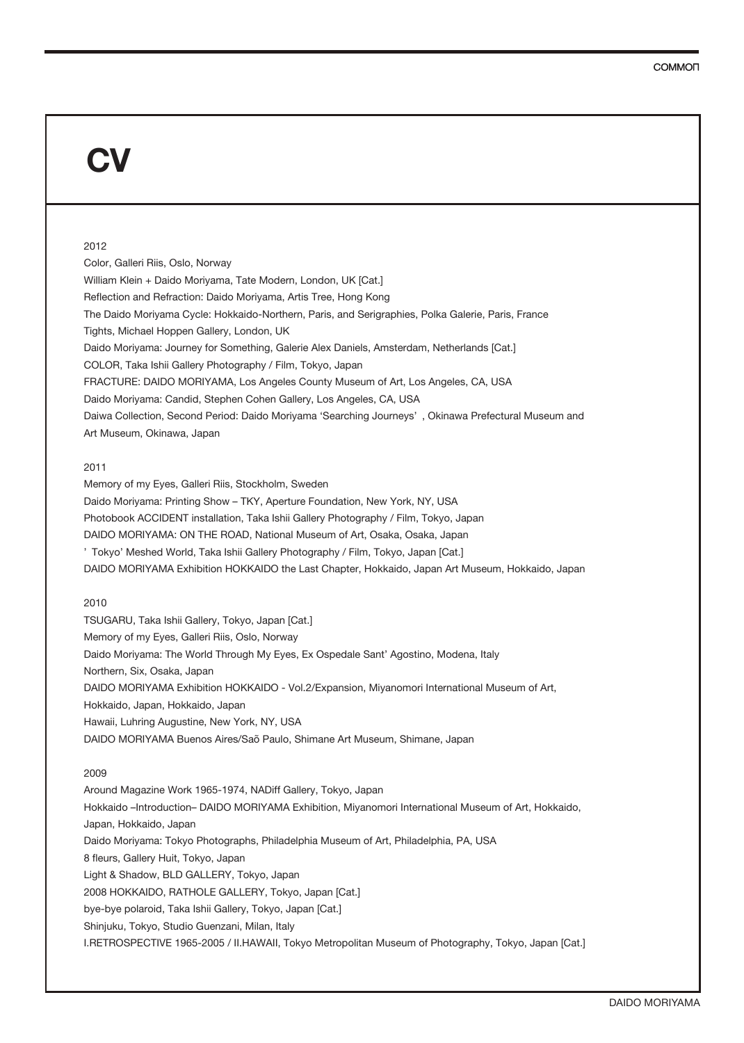### 2012

Color, Galleri Riis, Oslo, Norway William Klein + Daido Moriyama, Tate Modern, London, UK [Cat.] Reflection and Refraction: Daido Moriyama, Artis Tree, Hong Kong The Daido Moriyama Cycle: Hokkaido-Northern, Paris, and Serigraphies, Polka Galerie, Paris, France Tights, Michael Hoppen Gallery, London, UK Daido Moriyama: Journey for Something, Galerie Alex Daniels, Amsterdam, Netherlands [Cat.] COLOR, Taka Ishii Gallery Photography / Film, Tokyo, Japan FRACTURE: DAIDO MORIYAMA, Los Angeles County Museum of Art, Los Angeles, CA, USA Daido Moriyama: Candid, Stephen Cohen Gallery, Los Angeles, CA, USA Daiwa Collection, Second Period: Daido Moriyama 'Searching Journeys' , Okinawa Prefectural Museum and Art Museum, Okinawa, Japan

## 2011

Memory of my Eyes, Galleri Riis, Stockholm, Sweden Daido Moriyama: Printing Show – TKY, Aperture Foundation, New York, NY, USA Photobook ACCIDENT installation, Taka Ishii Gallery Photography / Film, Tokyo, Japan DAIDO MORIYAMA: ON THE ROAD, National Museum of Art, Osaka, Osaka, Japan ' Tokyo' Meshed World, Taka Ishii Gallery Photography / Film, Tokyo, Japan [Cat.] DAIDO MORIYAMA Exhibition HOKKAIDO the Last Chapter, Hokkaido, Japan Art Museum, Hokkaido, Japan

## 2010

TSUGARU, Taka Ishii Gallery, Tokyo, Japan [Cat.] Memory of my Eyes, Galleri Riis, Oslo, Norway Daido Moriyama: The World Through My Eyes, Ex Ospedale Sant' Agostino, Modena, Italy Northern, Six, Osaka, Japan DAIDO MORIYAMA Exhibition HOKKAIDO - Vol.2/Expansion, Miyanomori International Museum of Art, Hokkaido, Japan, Hokkaido, Japan Hawaii, Luhring Augustine, New York, NY, USA DAIDO MORIYAMA Buenos Aires/Saõ Paulo, Shimane Art Museum, Shimane, Japan

#### 2009

Around Magazine Work 1965-1974, NADiff Gallery, Tokyo, Japan Hokkaido –Introduction– DAIDO MORIYAMA Exhibition, Miyanomori International Museum of Art, Hokkaido, Japan, Hokkaido, Japan Daido Moriyama: Tokyo Photographs, Philadelphia Museum of Art, Philadelphia, PA, USA 8 fleurs, Gallery Huit, Tokyo, Japan Light & Shadow, BLD GALLERY, Tokyo, Japan 2008 HOKKAIDO, RATHOLE GALLERY, Tokyo, Japan [Cat.] bye-bye polaroid, Taka Ishii Gallery, Tokyo, Japan [Cat.] Shinjuku, Tokyo, Studio Guenzani, Milan, Italy I.RETROSPECTIVE 1965-2005 / II.HAWAII, Tokyo Metropolitan Museum of Photography, Tokyo, Japan [Cat.]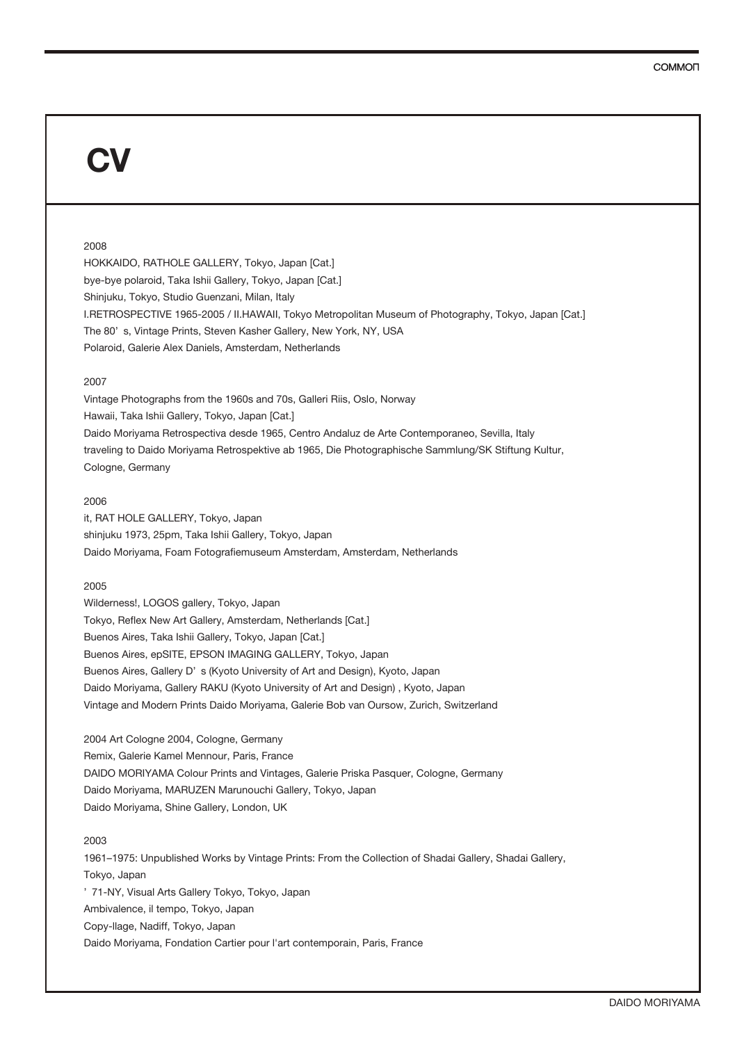#### 2008

HOKKAIDO, RATHOLE GALLERY, Tokyo, Japan [Cat.] bye-bye polaroid, Taka Ishii Gallery, Tokyo, Japan [Cat.] Shinjuku, Tokyo, Studio Guenzani, Milan, Italy I.RETROSPECTIVE 1965-2005 / II.HAWAII, Tokyo Metropolitan Museum of Photography, Tokyo, Japan [Cat.] The 80' s, Vintage Prints, Steven Kasher Gallery, New York, NY, USA Polaroid, Galerie Alex Daniels, Amsterdam, Netherlands

#### 2007

Vintage Photographs from the 1960s and 70s, Galleri Riis, Oslo, Norway Hawaii, Taka Ishii Gallery, Tokyo, Japan [Cat.] Daido Moriyama Retrospectiva desde 1965, Centro Andaluz de Arte Contemporaneo, Sevilla, Italy traveling to Daido Moriyama Retrospektive ab 1965, Die Photographische Sammlung/SK Stiftung Kultur, Cologne, Germany

#### 2006

it, RAT HOLE GALLERY, Tokyo, Japan shinjuku 1973, 25pm, Taka Ishii Gallery, Tokyo, Japan Daido Moriyama, Foam Fotografiemuseum Amsterdam, Amsterdam, Netherlands

#### 2005

Wilderness!, LOGOS gallery, Tokyo, Japan Tokyo, Reflex New Art Gallery, Amsterdam, Netherlands [Cat.] Buenos Aires, Taka Ishii Gallery, Tokyo, Japan [Cat.] Buenos Aires, epSITE, EPSON IMAGING GALLERY, Tokyo, Japan Buenos Aires, Gallery D' s (Kyoto University of Art and Design), Kyoto, Japan Daido Moriyama, Gallery RAKU (Kyoto University of Art and Design) , Kyoto, Japan Vintage and Modern Prints Daido Moriyama, Galerie Bob van Oursow, Zurich, Switzerland

2004 Art Cologne 2004, Cologne, Germany Remix, Galerie Kamel Mennour, Paris, France DAIDO MORIYAMA Colour Prints and Vintages, Galerie Priska Pasquer, Cologne, Germany Daido Moriyama, MARUZEN Marunouchi Gallery, Tokyo, Japan Daido Moriyama, Shine Gallery, London, UK

## 2003

1961–1975: Unpublished Works by Vintage Prints: From the Collection of Shadai Gallery, Shadai Gallery, Tokyo, Japan ' 71-NY, Visual Arts Gallery Tokyo, Tokyo, Japan Ambivalence, il tempo, Tokyo, Japan Copy-llage, Nadiff, Tokyo, Japan Daido Moriyama, Fondation Cartier pour l'art contemporain, Paris, France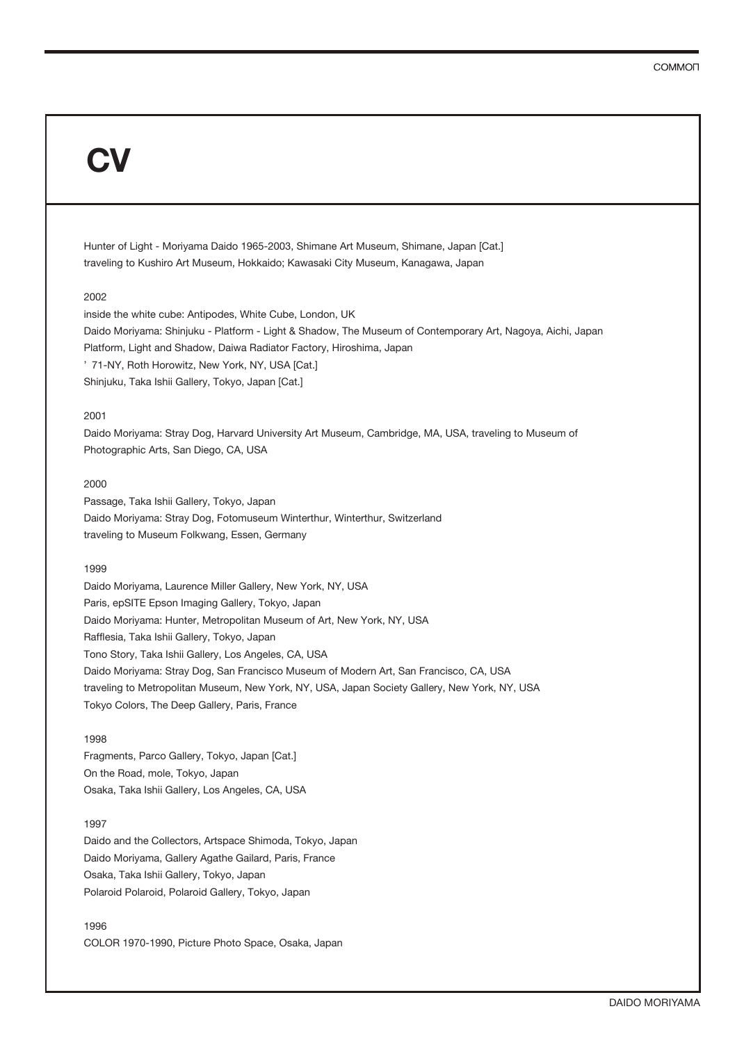Hunter of Light - Moriyama Daido 1965-2003, Shimane Art Museum, Shimane, Japan [Cat.] traveling to Kushiro Art Museum, Hokkaido; Kawasaki City Museum, Kanagawa, Japan

## 2002

inside the white cube: Antipodes, White Cube, London, UK Daido Moriyama: Shinjuku - Platform - Light & Shadow, The Museum of Contemporary Art, Nagoya, Aichi, Japan Platform, Light and Shadow, Daiwa Radiator Factory, Hiroshima, Japan ' 71-NY, Roth Horowitz, New York, NY, USA [Cat.] Shinjuku, Taka Ishii Gallery, Tokyo, Japan [Cat.]

## 2001

Daido Moriyama: Stray Dog, Harvard University Art Museum, Cambridge, MA, USA, traveling to Museum of Photographic Arts, San Diego, CA, USA

## 2000

Passage, Taka Ishii Gallery, Tokyo, Japan Daido Moriyama: Stray Dog, Fotomuseum Winterthur, Winterthur, Switzerland traveling to Museum Folkwang, Essen, Germany

## 1999

Daido Moriyama, Laurence Miller Gallery, New York, NY, USA Paris, epSITE Epson Imaging Gallery, Tokyo, Japan Daido Moriyama: Hunter, Metropolitan Museum of Art, New York, NY, USA Rafflesia, Taka Ishii Gallery, Tokyo, Japan Tono Story, Taka Ishii Gallery, Los Angeles, CA, USA Daido Moriyama: Stray Dog, San Francisco Museum of Modern Art, San Francisco, CA, USA traveling to Metropolitan Museum, New York, NY, USA, Japan Society Gallery, New York, NY, USA Tokyo Colors, The Deep Gallery, Paris, France

#### 1998

Fragments, Parco Gallery, Tokyo, Japan [Cat.] On the Road, mole, Tokyo, Japan Osaka, Taka Ishii Gallery, Los Angeles, CA, USA

## 1997

Daido and the Collectors, Artspace Shimoda, Tokyo, Japan Daido Moriyama, Gallery Agathe Gailard, Paris, France Osaka, Taka Ishii Gallery, Tokyo, Japan Polaroid Polaroid, Polaroid Gallery, Tokyo, Japan

1996 COLOR 1970-1990, Picture Photo Space, Osaka, Japan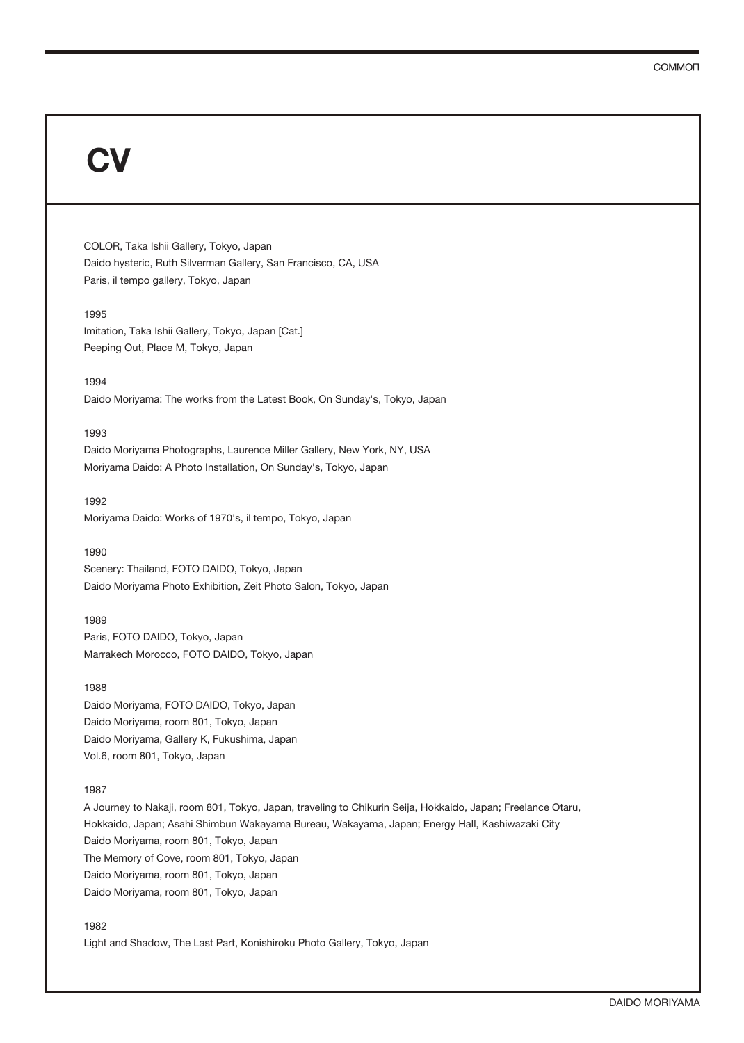COLOR, Taka Ishii Gallery, Tokyo, Japan Daido hysteric, Ruth Silverman Gallery, San Francisco, CA, USA Paris, il tempo gallery, Tokyo, Japan

#### 1995

Imitation, Taka Ishii Gallery, Tokyo, Japan [Cat.] Peeping Out, Place M, Tokyo, Japan

#### 1994

Daido Moriyama: The works from the Latest Book, On Sunday's, Tokyo, Japan

## 1993

Daido Moriyama Photographs, Laurence Miller Gallery, New York, NY, USA Moriyama Daido: A Photo Installation, On Sunday's, Tokyo, Japan

#### 1992

Moriyama Daido: Works of 1970's, il tempo, Tokyo, Japan

#### 1990

Scenery: Thailand, FOTO DAIDO, Tokyo, Japan Daido Moriyama Photo Exhibition, Zeit Photo Salon, Tokyo, Japan

#### 1989

Paris, FOTO DAIDO, Tokyo, Japan Marrakech Morocco, FOTO DAIDO, Tokyo, Japan

#### 1988

Daido Moriyama, FOTO DAIDO, Tokyo, Japan Daido Moriyama, room 801, Tokyo, Japan Daido Moriyama, Gallery K, Fukushima, Japan Vol.6, room 801, Tokyo, Japan

## 1987

A Journey to Nakaji, room 801, Tokyo, Japan, traveling to Chikurin Seija, Hokkaido, Japan; Freelance Otaru, Hokkaido, Japan; Asahi Shimbun Wakayama Bureau, Wakayama, Japan; Energy Hall, Kashiwazaki City Daido Moriyama, room 801, Tokyo, Japan The Memory of Cove, room 801, Tokyo, Japan Daido Moriyama, room 801, Tokyo, Japan Daido Moriyama, room 801, Tokyo, Japan

## 1982

Light and Shadow, The Last Part, Konishiroku Photo Gallery, Tokyo, Japan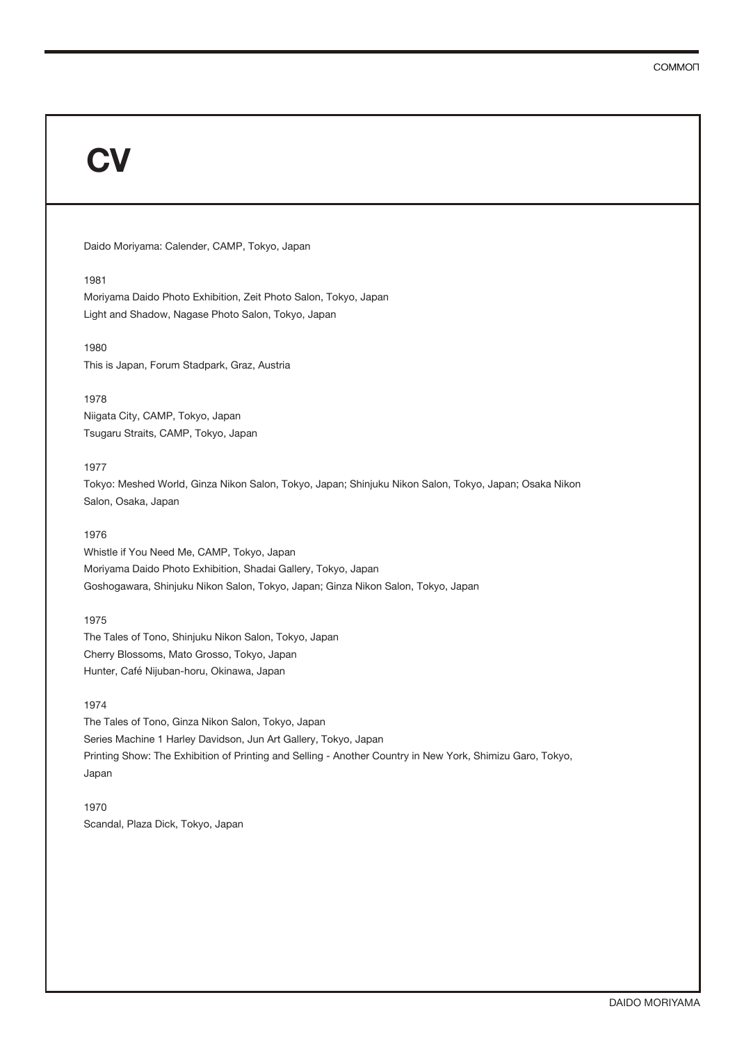Daido Moriyama: Calender, CAMP, Tokyo, Japan

#### 1981

Moriyama Daido Photo Exhibition, Zeit Photo Salon, Tokyo, Japan Light and Shadow, Nagase Photo Salon, Tokyo, Japan

## 1980 This is Japan, Forum Stadpark, Graz, Austria

#### 1978

Niigata City, CAMP, Tokyo, Japan Tsugaru Straits, CAMP, Tokyo, Japan

## 1977

Tokyo: Meshed World, Ginza Nikon Salon, Tokyo, Japan; Shinjuku Nikon Salon, Tokyo, Japan; Osaka Nikon Salon, Osaka, Japan

## 1976

Whistle if You Need Me, CAMP, Tokyo, Japan Moriyama Daido Photo Exhibition, Shadai Gallery, Tokyo, Japan Goshogawara, Shinjuku Nikon Salon, Tokyo, Japan; Ginza Nikon Salon, Tokyo, Japan

## 1975

The Tales of Tono, Shinjuku Nikon Salon, Tokyo, Japan Cherry Blossoms, Mato Grosso, Tokyo, Japan Hunter, Café Nijuban-horu, Okinawa, Japan

## 1974

The Tales of Tono, Ginza Nikon Salon, Tokyo, Japan Series Machine 1 Harley Davidson, Jun Art Gallery, Tokyo, Japan Printing Show: The Exhibition of Printing and Selling - Another Country in New York, Shimizu Garo, Tokyo, Japan

1970 Scandal, Plaza Dick, Tokyo, Japan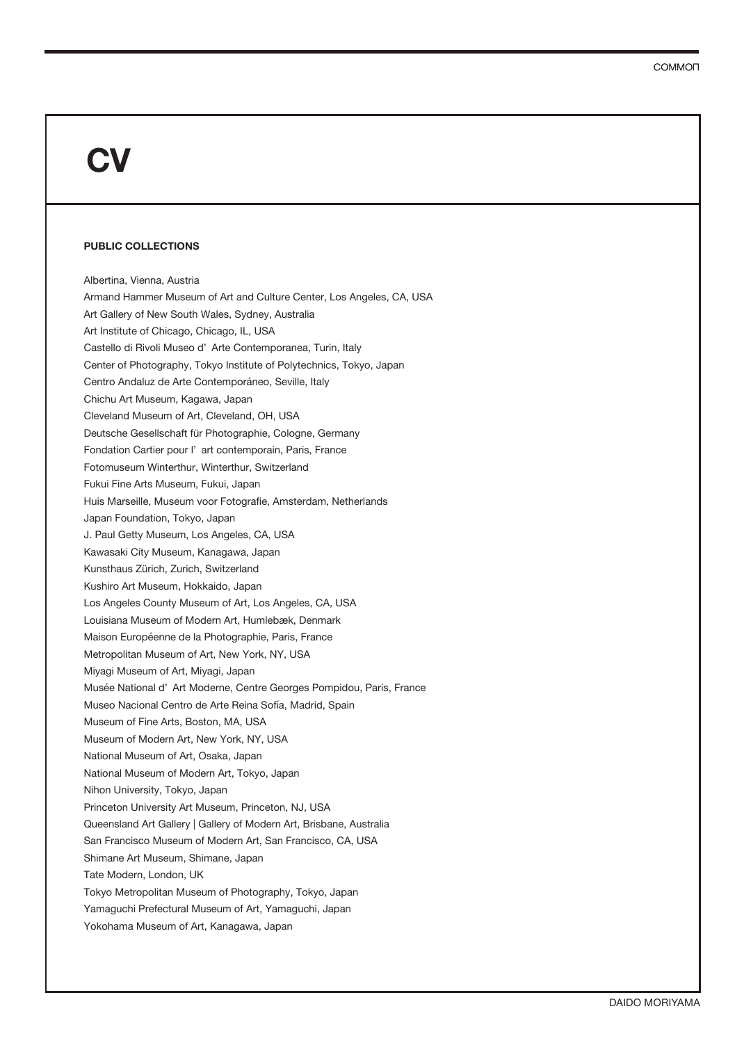#### **PUBLIC COLLECTIONS**

Albertina, Vienna, Austria Armand Hammer Museum of Art and Culture Center, Los Angeles, CA, USA Art Gallery of New South Wales, Sydney, Australia Art Institute of Chicago, Chicago, IL, USA Castello di Rivoli Museo d' Arte Contemporanea, Turin, Italy Center of Photography, Tokyo Institute of Polytechnics, Tokyo, Japan Centro Andaluz de Arte Contemporáneo, Seville, Italy Chichu Art Museum, Kagawa, Japan Cleveland Museum of Art, Cleveland, OH, USA Deutsche Gesellschaft für Photographie, Cologne, Germany Fondation Cartier pour l' art contemporain, Paris, France Fotomuseum Winterthur, Winterthur, Switzerland Fukui Fine Arts Museum, Fukui, Japan Huis Marseille, Museum voor Fotografie, Amsterdam, Netherlands Japan Foundation, Tokyo, Japan J. Paul Getty Museum, Los Angeles, CA, USA Kawasaki City Museum, Kanagawa, Japan Kunsthaus Zürich, Zurich, Switzerland Kushiro Art Museum, Hokkaido, Japan Los Angeles County Museum of Art, Los Angeles, CA, USA Louisiana Museum of Modern Art, Humlebæk, Denmark Maison Européenne de la Photographie, Paris, France Metropolitan Museum of Art, New York, NY, USA Miyagi Museum of Art, Miyagi, Japan Musée National d' Art Moderne, Centre Georges Pompidou, Paris, France Museo Nacional Centro de Arte Reina Sofía, Madrid, Spain Museum of Fine Arts, Boston, MA, USA Museum of Modern Art, New York, NY, USA National Museum of Art, Osaka, Japan National Museum of Modern Art, Tokyo, Japan Nihon University, Tokyo, Japan Princeton University Art Museum, Princeton, NJ, USA Queensland Art Gallery | Gallery of Modern Art, Brisbane, Australia San Francisco Museum of Modern Art, San Francisco, CA, USA Shimane Art Museum, Shimane, Japan Tate Modern, London, UK Tokyo Metropolitan Museum of Photography, Tokyo, Japan Yamaguchi Prefectural Museum of Art, Yamaguchi, Japan Yokohama Museum of Art, Kanagawa, Japan